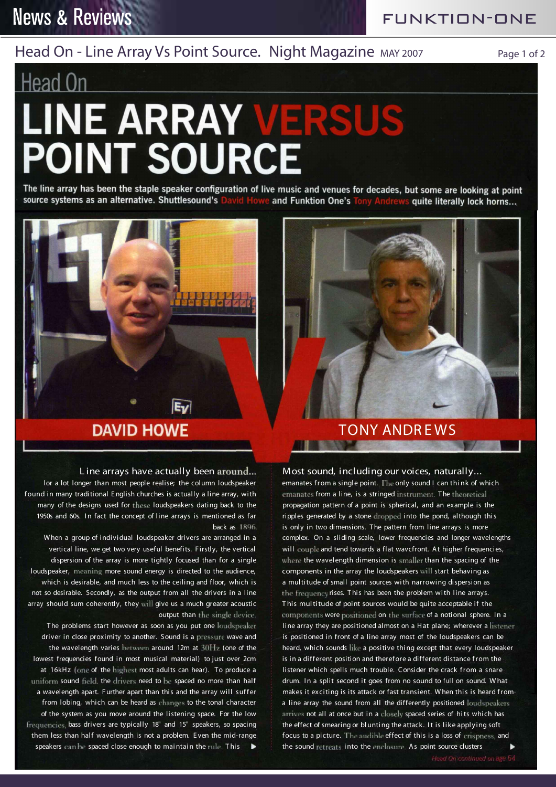## **News & Reviews**

FUNKTION-ONE

### Head On - Line Array Vs Point Source. Night Magazine MAY 2007 Page 1 of 2

# Head On **LINE ARRAY VERSUS POINT SOURCE**

'.<mark>••••••••</mark>••••

The line array has been the staple speaker configuration of live music and venues for decades, but some are looking at point source systems as an alternative. Shuttlesound's David Howe and Funktion One's Tony Andre quite literally lock horns...



# **DAVID HOWE Little TONY ANDREWS**

#### L ine arrays have actually been around...

Ev

lor a lot longer than most people realise; the column loudspeaker f ound in many traditional E nglish churches is actually a line array, with many of the designs used for these loudspeakers dating back to the 1950s and 60s. In fact the concept of line arrays is mentioned as far back as 1896.

When a group of individual loudspeaker drivers are arranged in a vertical line, we get two very useful benefits. Firstly, the vertical dispersion of the array is more tightly focused than for a single loudspeaker, meaning more sound energy is directed to the audience, which is desirable, and much less to the ceiling and floor, which is not so desirable. Secondly, as the output from all the drivers in a line array should sum coherently, they will give us a much greater acoustic output than the single device.

The problems start however as soon as you put one loudspeaker driver in close proximity to another. Sound is a pressure wave and the wavelength varies between around 12m at 30Hz (one of the lowest frequencies found in most musical material) to just over 2cm at 16kHz (one of the highest most adults can hear). To produce a uniform sound field, the drivers need to be spaced no more than half a wavelength apart. Further apart than this and the array will suffer from lobing, which can be heard as changes to the tonal character of the system as you move around the listening space. For the low frequencies, bass drivers are typically 18" and 15" speakers, so spacing them less than half wavelength is not a problem. E ven the mid-range speakers can be spaced close enough to maintain the rule. This  $\blacktriangleright$ 

Most sound, including our voices, naturally...

emanates from a single point. The only sound I can think of which emanates from a line, is a stringed instrument. The theoretical propagation pattern of a point is spherical, and an example is the ripples generated by a stone dropped into the pond, although this is only in two dimensions. The pattern from line arrays is more complex. On a sliding scale, lower frequencies and longer wavelengths will couple and tend towards a flat wavcfront. At higher frequencies, where the wavelength dimension is smaller than the spacing of the components in the array the loudspeakers will start behaving as a multitude of small point sources with narrowing dispersion as the frequency rises. T his has been the problem with line arrays. T his multitude of point sources would be quite acceptable if the components were positioned on the surface of a notional sphere. In a line array they are positioned almost on a Hat plane; wherever a listener is positioned in front of a line array most of the loudspeakers can be heard, which sounds like a positive thing except that every loudspeaker is in a different position and therefore a different distance from the listener which spells much trouble. Consider the crack from a snare drum. In a split second it goes from no sound to full on sound. What makes it exciting is its attack or fast transient. W hen this is heard from a line array the sound from all the differently positioned loudspeakers arrives not all at once but in a closely spaced series of hits which has the effect of smearing or blunting the attack. It is like appl ying soft focus to a picture. The audible effect of this is a loss of crispness, and the sound retreats into the enclosure. As point source clusters "I